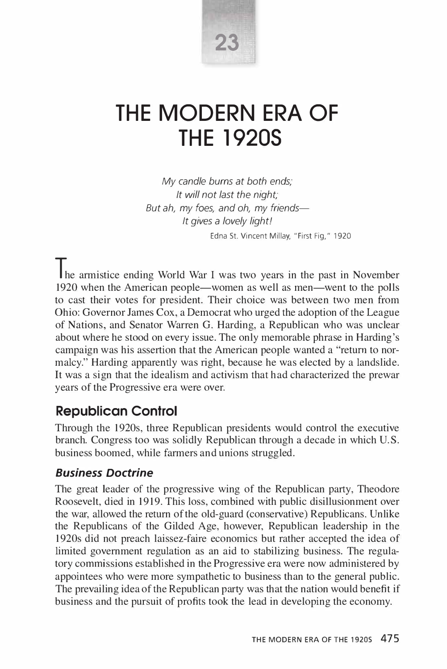

# **THE MODERN ERA OF THE 1920S**

*My candle burns at both ends; It will not last the night; But ah, my foes, and oh, my friends-It gives a lovely light!*  Edna St. Vincent Millay, "First Fig," 1920

The armistice ending World War I was two years in the past in November 1920 when the American people—women as well as men—went to the polls to cast their votes for president. Their choice was between two men from Ohio: Governor James Cox, a Democrat who urged the adoption of the League of Nations, and Senator Warren G. Harding, a Republican who was unclear about where he stood on every issue. The only memorable phrase in Harding's campaign was his assertion that the American people wanted a "return to normalcy." Harding apparently was right, because he was elected by a landslide. It was a sign that the idealism and activism that had characterized the prewar years of the Progressive era were over.

# **Republican Control**

Through the 1920s, three Republican presidents would control the executive branch. Congress too was solidly Republican through a decade in which U.S. business boomed, while farmers and unions struggled.

#### *Business Doctrine*

The great leader of the progressive wing of the Republican party, Theodore Roosevelt, died in 1919. This loss, combined with public disillusionment over the war, allowed the return of the old-guard (conservative) Republicans. Unlike the Republicans of the Gilded Age, however, Republican leadership in the 1920s did not preach laissez-faire economics but rather accepted the idea of limited government regulation as an aid to stabilizing business. The regulatory commissions established in the Progressive era were now administered by appointees who were more sympathetic to business than to the general public. The prevailing idea of the Republican party was that the nation would benefit if business and the pursuit of profits took the lead in developing the economy.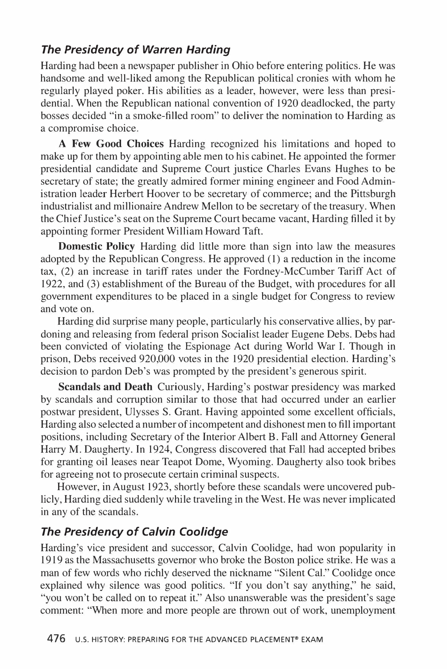#### *The Presidency of Warren Harding*

Harding had been a newspaper publisher in Ohio before entering politics. He was handsome and well-liked among the Republican political cronies with whom he regularly played poker. His abilities as a leader, however, were less than presidential. When the Republican national convention of 1920 deadlocked, the party bosses decided "in a smoke-filled room" to deliver the nomination to Harding as a compromise choice.

**A Few Good Choices** Harding recognized his limitations and hoped to make up for them by appointing able men to his cabinet. He appointed the former presidential candidate and Supreme Court justice Charles Evans Hughes to be secretary of state; the greatly admired former mining engineer and Food Administration leader Herbert Hoover to be secretary of commerce; and the Pittsburgh industrialist and millionaire Andrew Mellon to be secretary of the treasury. When the Chief Justice's seat on the Supreme Court became vacant, Harding filled it by appointing former President William Howard Taft.

**Domestic Policy** Harding did little more than sign into law the measures adopted by the Republican Congress. He approved (1) a reduction in the income tax, (2) an increase in tariff rates under the Fordney-McCumber Tariff Act of 1922, and (3) establishment of the Bureau of the Budget, with procedures for all government expenditures to be placed in a single budget for Congress to review and vote on.

Harding did surprise many people, particularly his conservative allies, by pardoning and releasing from federal prison Socialist leader Eugene Debs. Debs had been convicted of violating the Espionage Act during World War I. Though in prison, Debs received 920,000 votes in the 1920 presidential election. Harding's decision to pardon Deb's was prompted by the president's generous spirit.

**Scandals and Death** Curiously, Harding's postwar presidency was marked by scandals and corruption similar to those that had occurred under an earlier postwar president, Ulysses S. Grant. Having appointed some excellent officials, Harding also selected a number of incompetent and dishonest men to fill important positions, including Secretary of the Interior Albert B. Fall and Attorney General Harry M. Daugherty. In 1924, Congress discovered that Fall had accepted bribes for granting oil leases near Teapot Dome, Wyoming. Daugherty also took bribes for agreeing not to prosecute certain criminal suspects.

However, in August 1923, shortly before these scandals were uncovered publicly, Harding died suddenly while traveling in the West. He was never implicated in any of the scandals.

#### *The Presidency of Calvin Coolidge*

Harding's vice president and successor, Calvin Coolidge, had won popularity in 1919 as the Massachusetts governor who broke the Boston police strike. He was a man of few words who richly deserved the nickname "Silent Cal." Coolidge once explained why silence was good politics. "If you don't say anything," he said, "you won't be called on to repeat it." Also unanswerable was the president's sage comment: "When more and more people are thrown out of work, unemployment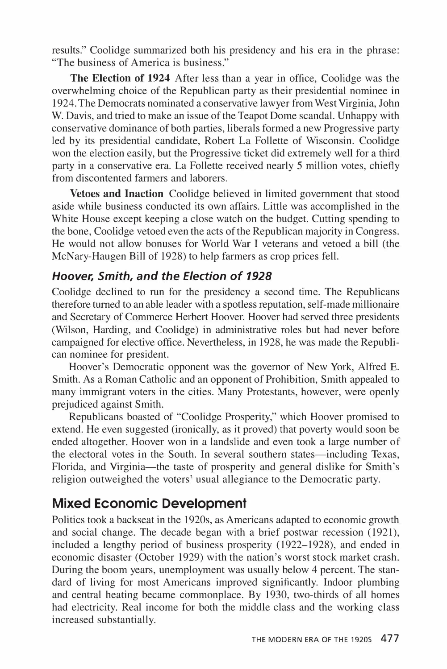results." Coolidge summarized both his presidency and his era in the phrase: "The business of America is business."

**The Election of 1924** After less than a year in office, Coolidge was the overwhelming choice of the Republican party as their presidential nominee in 1924. The Democrats nominated a conservative lawyer from West Virginia, John W. Davis, and tried to make an issue of the Teapot Dome scandal. Unhappy with conservative dominance of both parties, liberals formed a new Progressive party led by its presidential candidate, Robert La Follette of Wisconsin. Coolidge won the election easily, but the Progressive ticket did extremely well for a third party in a conservative era. **La** Follette received nearly 5 million votes, chiefly from discontented farmers and laborers.

**Vetoes and Inaction** Coolidge believed in limited government that stood aside while business conducted its own affairs. Little was accomplished in the White House except keeping a close watch on the budget. Cutting spending to the bone, Coolidge vetoed even the acts of the Republican majority in Congress. He would not allow bonuses for World War I veterans and vetoed a bill (the McNary-Haugen Bill of 1928) to help farmers as crop prices fell.

#### *Hoover, Smith, and the Election of 1928*

Coolidge declined to run for the presidency a second time. The Republicans therefore turned to an able leader with a spotless reputation, self-made millionaire and Secretary of Commerce Herbert Hoover. Hoover had served three presidents (Wilson, Harding, and Coolidge) in administrative roles but had never before campaigned for elective office. Nevertheless, in 1928, he was made the Republican nominee for president.

Hoover's Democratic opponent was the governor of New York, Alfred E. Smith. As a Roman Catholic and an opponent of Prohibition, Smith appealed to many immigrant voters in the cities. Many Protestants, however, were openly prejudiced against Smith.

Republicans boasted of "Coolidge Prosperity," which Hoover promised to extend. He even suggested (ironically, as it proved) that poverty would soon be ended altogether. Hoover won in a landslide and even took a large number of the electoral votes in the South. In several southern states—including Texas, Florida, and Virginia—the taste of prosperity and general dislike for Smith's religion outweighed the voters' usual allegiance to the Democratic party.

# **Mixed Economic Development**

Politics took a backseat in the 1920s, as Americans adapted to economic growth and social change. The decade began with a brief postwar recession (1921), included a lengthy period of business prosperity (1922-1928), and ended in economic disaster (October 1929) with the nation's worst stock market crash. During the boom years, unemployment was usually below 4 percent. The standard of living for most Americans improved significantly. Indoor plumbing and central heating became commonplace. By 1930, two-thirds of all homes had electricity. Real income for both the middle class and the working class increased substantially.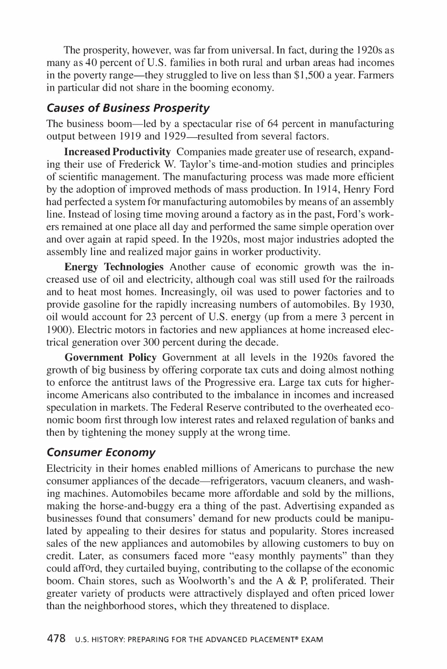The prosperity, however, was far from universal. In fact, during the 1920s as many as 40 percent of U.S. families in both rural and urban areas had incomes in the poverty range—they struggled to live on less than  $$1,500$  a year. Farmers in particular did not share in the booming economy.

### *Causes of Business Prosperity*

The business boom—led by a spectacular rise of 64 percent in manufacturing output between 1919 and 1929—resulted from several factors.

**Increased Productivity** Companies made greater use of research, expanding their use of Frederick W. Taylor's time-and-motion studies and principles of scientific management. The manufacturing process was made more efficient by the adoption of improved methods of mass production. In 1914, Henry Ford had perfected a system for manufacturing automobiles by means of an assembly line. Instead of losing time moving around a factory as in the past, Ford's workers remained at one place all day and performed the same simple operation over and over again at rapid speed. In the 1920s, most major industries adopted the assembly line and realized major gains in worker productivity.

**Energy Technologies** Another cause of economic growth was the increased use of oil and electricity, although coal was still used for the railroads and to heat most homes. Increasingly, oil was used to power factories and to provide gasoline for the rapidly increasing numbers of automobiles. By 1930, oil would account for 23 percent of U.S. energy (up from a mere 3 percent in 1900). Electric motors in factories and new appliances at home increased electrical generation over 300 percent during the decade.

**Government Policy** Government at all levels in the 1920s favored the growth of big business by offering corporate tax cuts and doing almost nothing to enforce the antitrust laws of the Progressive era. Large tax cuts for higherincome Americans also contributed to the imbalance in incomes and increased speculation in markets. The Federal Reserve contributed to the overheated economic boom first through low interest rates and relaxed regulation of banks and then by tightening the money supply at the wrong time.

#### *Consumer Economy*

Electricity in their homes enabled millions of Americans to purchase the new consumer appliances of the decade—refrigerators, vacuum cleaners, and washing machines. Automobiles became more affordable and sold by the millions, making the horse-and-buggy era a thing of the past. Advertising expanded as businesses found that consumers' demand for new products could be manipulated by appealing to their desires for status and popularity. Stores increased sales of the new appliances and automobiles by allowing customers to buy on credit. Later, as consumers faced more "easy monthly payments" than they could afford, they curtailed buying, contributing to the collapse of the economic boom. Chain stores, such as Woolworth's and the A & P, proliferated. Their greater variety of products were attractively displayed and often priced lower than the neighborhood stores, which they threatened to displace.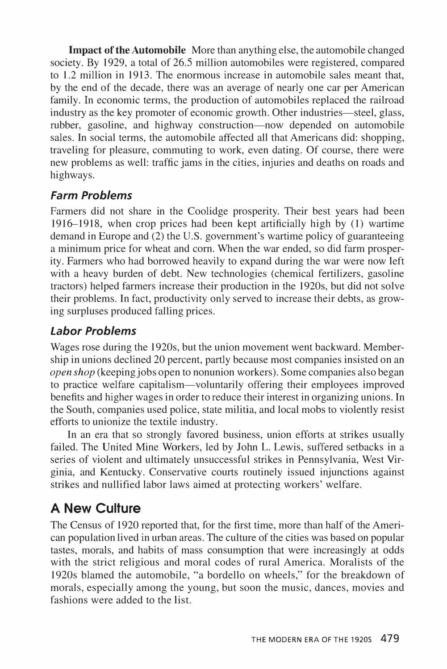**Impact of the Automobile** More than anything else, the automobile changed society. By 1929, a total of 26.5 million automobiles were registered, compared to 1.2 million in 1913. The enormous increase in automobile sales meant that, by the end of the decade, there was an average of nearly one car per American family. In economic terms, the production of automobiles replaced the railroad industry as the key promoter of economic growth. Other industries—steel, glass, rubber, gasoline, and highway construction—now depended on automobile sales. In social terms, the automobile affected all that Americans did: shopping, traveling for pleasure, commuting to work, even dating. Of course, there were new problems as well: traffic jams in the cities, injuries and deaths on roads and highways.

#### *Farm Problems*

Farmers did not share in the Coolidge prosperity. Their best years had been 1916-1918, when crop prices had been kept artificially high by (1) wartime demand in Europe and (2) the U.S. government's wartime policy of guaranteeing a minimum price for wheat and corn. When the war ended, so did farm prosperity. Farmers who had borrowed heavily to expand during the war were now left with a heavy burden of debt. New technologies (chemical fertilizers, gasoline tractors) helped farmers increase their production in the 1920s, but did not solve their problems. In fact, productivity only served to increase their debts, as growing surpluses produced falling prices.

# *labor Problems*

Wages rose during the 1920s, but the union movement went backward. Membership in unions declined 20 percent, partly because most companies insisted on an *open shop* (keeping jobs open to nonunion workers). Some companies also began to practice welfare capitalism-voluntarily offering their employees improved benefits and higher wages in order to reduce their interest in organizing unions. In the South, companies used police, state militia, and local mobs to violently resist efforts to unionize the textile industry.

In an era that so strongly favored business, union efforts at strikes usually failed. The United Mine Workers, led by John L. Lewis, suffered setbacks in a series of violent and ultimately unsuccessful strikes in Pennsylvania, West Virginia, and Kentucky. Conservative courts routinely issued injunctions against strikes and nullified labor laws aimed at protecting workers' welfare.

# **A New Culture**

The Census of 1920 reported that, for the first time, more than half of the American population lived in urban areas. The culture of the cities was based on popular tastes, morals, and habits of mass consumption that were increasingly at odds with the strict religious and moral codes of rural America. Moralists of the 1920s blamed the automobile, "a bordello on wheels," for the breakdown of morals, especially among the young, but soon the music, dances, movies and fashions were added to the list.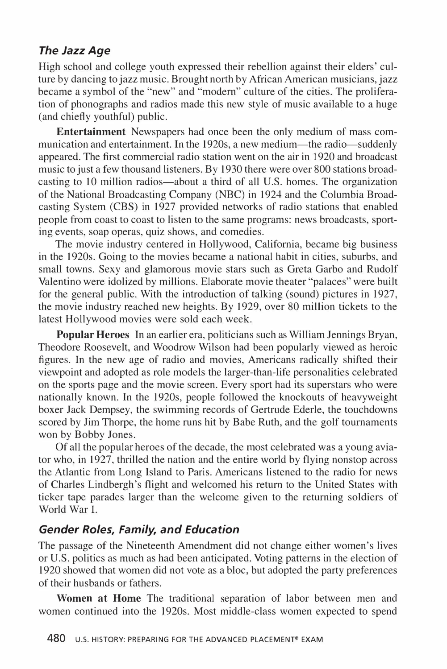#### *The Jazz Age*

High school and college youth expressed their rebellion against their elders' culture by dancing to jazz music. Brought north by African American musicians, jazz became a symbol of the "new" and "modem" culture of the cities. The proliferation of phonographs and radios made this new style of music available to a huge (and chiefly youthful) public.

**Entertainment** Newspapers had once been the only medium of mass communication and entertainment. In the 1920s, a new medium-the radio-suddenly appeared. The first commercial radio station went on the air in 1920 and broadcast music to just a few thousand listeners. By 1930 there were over 800 stations broadcasting to 10 million radios-about a third of all U.S. homes. The organization of the National Broadcasting Company **(NBC)** in 1924 and the Columbia Broadcasting System **(CBS)** in 1927 provided networks of radio stations that enabled people from coast to coast to listen to the same programs: news broadcasts, sporting events, soap operas, quiz shows, and comedies.

The movie industry centered in Hollywood, California, became big business in the 1920s. Going to the movies became a national habit in cities, suburbs, and small towns. Sexy and glamorous movie stars such as Greta Garbo and Rudolf Valentino were idolized by millions. Elaborate movie theater "palaces" were built for the general public. With the introduction of talking (sound) pictures in 1927, the movie industry reached new heights. By 1929, over 80 million tickets to the latest Hollywood movies were sold each week.

**Popular Heroes** In an earlier era, politicians such as William Jennings Bryan, Theodore Roosevelt, and Woodrow Wilson had been popularly viewed as heroic figures. In the new age of radio and movies, Americans radically shifted their viewpoint and adopted as role models the larger-than-life personalities celebrated on the sports page and the movie screen. Every sport had its superstars who were nationally known. In the 1920s, people followed the knockouts of heavyweight boxer Jack Dempsey, the swimming records of Gertrude Ederle, the touchdowns scored by Jim Thorpe, the home runs hit by Babe Ruth, and the golf tournaments won by Bobby Jones.

Of all the popular heroes of the decade, the most celebrated was a young aviator who, in 1927, thrilled the nation and the entire world by flying nonstop across the Atlantic from Long Island to Paris. Americans listened to the radio for news of Charles Lindbergh's flight and welcomed his return to the United States with ticker tape parades larger than the welcome given to the returning soldiers of World War I.

#### *Gender Roles, Family, and Education*

The passage of the Nineteenth Amendment did not change either women's lives or U.S. politics as much as had been anticipated. Voting patterns in the election of 1920 showed that women did not vote as a bloc, but adopted the party preferences of their husbands or fathers.

**Women at Home** The traditional separation of labor between men and women continued into the 1920s. Most middle-class women expected to spend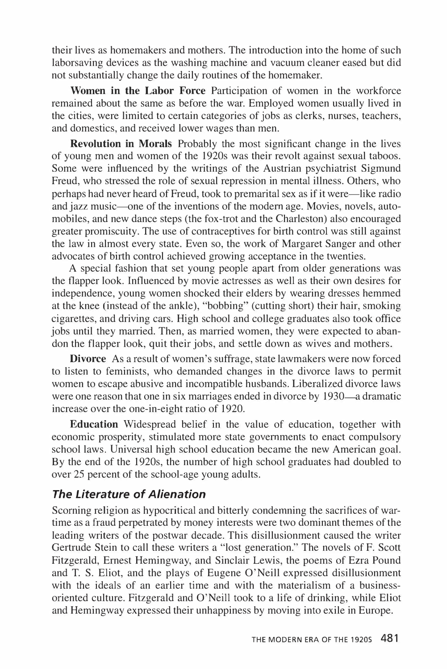their lives as homemakers and mothers. The introduction into the home of such laborsaving devices as the washing machine and vacuum cleaner eased but did not substantially change the daily routines of the homemaker.

**Women in the Labor Force** Participation of women in the workforce remained about the same as before the war. Employed women usually lived in the cities, were limited to certain categories of jobs as clerks, nurses, teachers, and domestics, and received lower wages than men.

**Revolution in Morals** Probably the most significant change in the lives of young men and women of the 1920s was their revolt against sexual taboos. Some were influenced by the writings of the Austrian psychiatrist Sigmund Freud, who stressed the role of sexual repression in mental illness. Others, who perhaps had never heard of Freud, took to premarital sex as if it were-like radio and jazz music—one of the inventions of the modern age. Movies, novels, automobiles, and new dance steps (the fox-trot and the Charleston) also encouraged greater promiscuity. The use of contraceptives for birth control was still against the law in almost every state. Even so, the work of Margaret Sanger and other advocates of birth control achieved growing acceptance in the twenties.

A special fashion that set young people apart from older generations was the flapper look. Influenced by movie actresses as well as their own desires for independence, young women shocked their elders by wearing dresses hemmed at the knee (instead of the ankle), "bobbing" (cutting short) their hair, smoking cigarettes, and driving cars. High school and college graduates also took office jobs until they married. Then, as married women, they were expected to abandon the flapper look, quit their jobs, and settle down as wives and mothers.

**Divorce** As a result of women's suffrage, state lawmakers were now forced to listen to feminists, who demanded changes in the divorce laws to permit women to escape abusive and incompatible husbands. Liberalized divorce laws were one reason that one in six marriages ended in divorce by 1930—a dramatic increase over the one-in-eight ratio of 1920.

**Education** Widespread belief in the value of education, together with economic prosperity, stimulated more state governments to enact compulsory school laws. Universal high school education became the new American goal. By the end of the 1920s, the number of high school graduates had doubled to over 25 percent of the school-age young adults.

#### *The Literature of Alienation*

Scorning religion as hypocritical and bitterly condemning the sacrifices of wartime as a fraud perpetrated by money interests were two dominant themes of the leading writers of the postwar decade. This disillusionment caused the writer Gertrude Stein to call these writers a "lost generation." The novels of F. Scott Fitzgerald, Ernest Hemingway, and Sinclair Lewis, the poems of Ezra Pound and T. S. Eliot, and the plays of Eugene O'Neill expressed disillusionment with the ideals of an earlier time and with the materialism of a businessoriented culture. Fitzgerald and O'Neill took to a life of drinking, while Eliot and Hemingway expressed their unhappiness by moving into exile in Europe.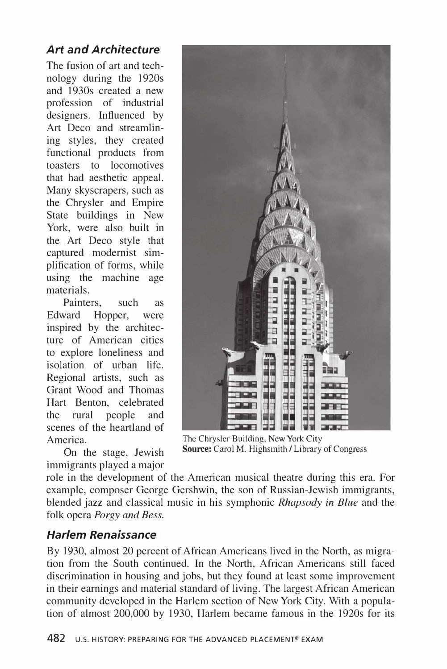# *Art and Architecture*

The fusion of art and technology during the 1920s and 1930s created a new profession of industrial designers. Influenced by Art Deco and streamlining styles, they created functional products from toasters to locomotives that had aesthetic appeal. Many skyscrapers, such as the Chrysler and Empire State buildings in New York, were also built in the Art Deco style that captured modernist simplification of forms, while using the machine age materials.

Painters, such as Edward Hopper, were inspired by the architecture of American cities to explore loneliness and isolation of urban life. Regional artists, such as Grant Wood and Thomas Hart Benton, celebrated the rural people and scenes of the heartland of America.

On the stage, Jewish immigrants played a major



The Chrysler Building, New York City **Source:** Carol M. Highsmith / Library of Congress

role in the development of the American musical theatre during this era. For example, composer George Gershwin, the son of Russian-Jewish immigrants, blended jazz and classical music in his symphonic *Rhapsody in Blue* and the folk opera *Porgy and Bess.* 

#### *Harlem Renaissance*

By 1930, almost 20 percent of African Americans lived in the North, as migration from the South continued. In the North, African Americans still faced discrimination in housing and jobs, but they found at least some improvement in their earnings and material standard of living. The largest African American community developed in the Harlem section of New York City. With a population of almost 200,000 by 1930, Harlem became famous in the 1920s for its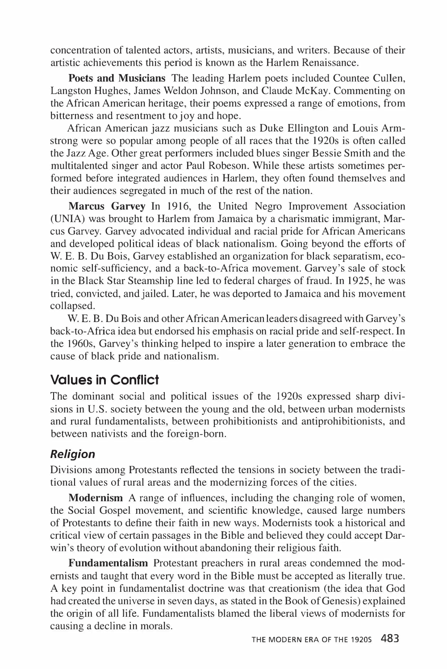concentration of talented actors, artists, musicians, and writers. Because of their artistic achievements this period is known as the Harlem Renaissance.

**Poets and Musicians** The leading Harlem poets included Countee Cullen, Langston Hughes, James Weldon Johnson, and Claude McKay. Commenting on the African American heritage, their poems expressed a range of emotions, from bitterness and resentment to joy and hope.

African American jazz musicians such as Duke Ellington and Louis Armstrong were so popular among people of all races that the 1920s is often called the Jazz Age. Other great performers included blues singer Bessie Smith and the multitalented singer and actor Paul Robeson. While these artists sometimes performed before integrated audiences in Harlem, they often found themselves and their audiences segregated in much of the rest of the nation.

**Marcus Garvey** In 1916, the United Negro Improvement Association (UNIA) was brought to Harlem from Jamaica by a charismatic immigrant, Marcus Garvey. Garvey advocated individual and racial pride for African Americans and developed political ideas of black nationalism. Going beyond the efforts of W. E. B. Du Bois, Garvey established an organization for black separatism, economic self-sufficiency, and a back-to-Africa movement. Garvey's sale of stock in the Black Star Steamship line led to federal charges of fraud. In 1925, he was tried, convicted, and jailed. Later, he was deported to Jamaica and his movement collapsed.

W. E. B. Du Bois and other African American leaders disagreed with Garvey's back-to-Africa idea but endorsed his emphasis on racial pride and self-respect. In the 1960s, Garvey's thinking helped to inspire a later generation to embrace the cause of black pride and nationalism.

# **Values in Conflict**

The dominant social and political issues of the 1920s expressed sharp divisions in U.S. society between the young and the old, between urban modernists and rural fundamentalists, between prohibitionists and antiprohibitionists, and between nativists and the foreign-born.

### *Religion*

Divisions among Protestants reflected the tensions in society between the traditional values of rural areas and the modernizing forces of the cities.

**Modernism** A range of influences, including the changing role of women, the Social Gospel movement, and scientific knowledge, caused large numbers of Protestants to define their faith in new ways. Modernists took a historical and critical view of certain passages in the Bible and believed they could accept Darwin's theory of evolution without abandoning their religious faith.

**Fundamentalism** Protestant preachers in rural areas condemned the modernists and taught that every word in the Bible must be accepted as literally true. A key point in fundamentalist doctrine was that creationism (the idea that God had created the universe in seven days, as stated in the Book of Genesis) explained the origin of all life. Fundamentalists blamed the liberal views of modernists for causing a decline in morals.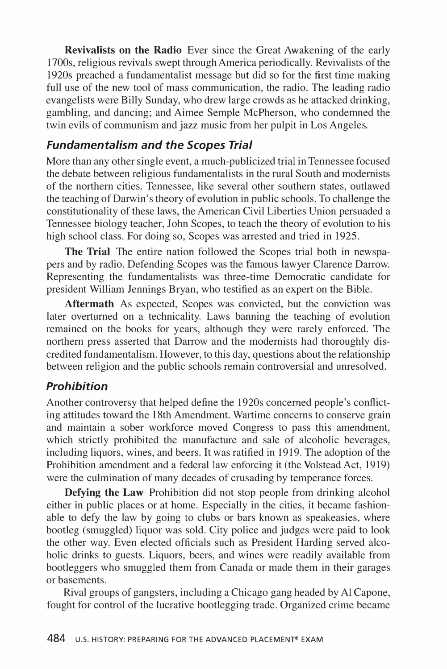**Revivalists on the Radio** Ever since the Great Awakening of the early 1700s, religious revivals swept through America periodically. Revivalists of the 1920s preached a fundamentalist message but did so for the first time making full use of the new tool of mass communication, the radio. The leading radio evangelists were Billy Sunday, who drew large crowds as he attacked drinking, gambling, and dancing; and Aimee Semple McPherson, who condemned the twin evils of communism and jazz music from her pulpit in Los Angeles.

#### *Fundamentalism and the Scopes Trial*

More than any other single event, a much-publicized trial in Tennessee focused the debate between religious fundamentalists in the rural South and modernists of the northern cities. Tennessee, like several other southern states, outlawed the teaching of Darwin's theory of evolution in public schools. To challenge the constitutionality of these laws, the American Civil Liberties Union persuaded a Tennessee biology teacher, John Scopes, to teach the theory of evolution to his high school class. For doing so, Scopes was arrested and tried in 1925.

**The Trial** The entire nation followed the Scopes trial both in newspapers and by radio. Defending Scopes was the famous lawyer Clarence Darrow. Representing the fundamentalists was three-time Democratic candidate for president William Jennings Bryan, who testified as an expert on the Bible.

**Aftermath** As expected, Scopes was convicted, but the conviction was later overturned on a technicality. Laws banning the teaching of evolution remained on the books for years, although they were rarely enforced. The northern press asserted that Darrow and the modernists had thoroughly discredited fundamentalism. However, to this day, questions about the relationship between religion and the public schools remain controversial and unresolved.

#### *Prohibition*

Another controversy that helped define the 1920s concerned people's conflicting attitudes toward the 18th Amendment. Wartime concerns to conserve grain and maintain a sober workforce moved Congress to pass this amendment, which strictly prohibited the manufacture and sale of alcoholic beverages, including liquors, wines, and beers. It was ratified in 1919. The adoption of the Prohibition amendment and a federal law enforcing it (the Volstead Act, 1919) were the culmination of many decades of crusading by temperance forces.

**Defying the Law** Prohibition did not stop people from drinking alcohol either in public places or at home. Especially in the cities, it became fashionable to defy the law by going to clubs or bars known as speakeasies, where bootleg (smuggled) liquor was sold. City police and judges were paid to look the other way. Even elected officials such as President Harding served alcoholic drinks to guests. Liquors, beers, and wines were readily available from bootleggers who smuggled them from Canada or made them in their garages or basements.

Rival groups of gangsters, including a Chicago gang headed by Al Capone, fought for control of the lucrative bootlegging trade. Organized crime became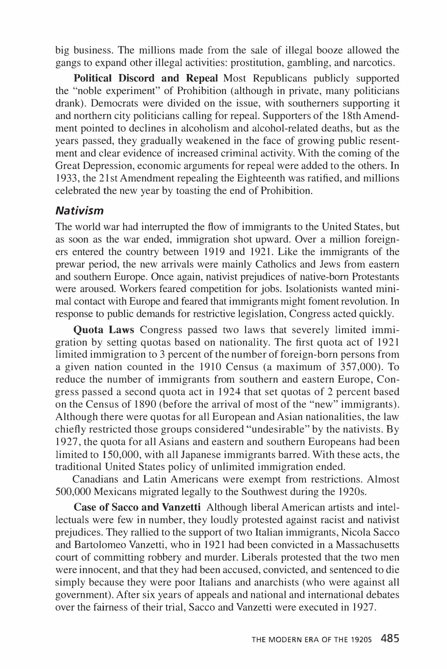big business. The millions made from the sale of illegal booze allowed the gangs to expand other illegal activities: prostitution, gambling, and narcotics.

**Political Discord and Repeal** Most Republicans publicly supported the "noble experiment" of Prohibition (although in private, many politicians drank). Democrats were divided on the issue, with southerners supporting it and northern city politicians calling for repeal. Supporters of the 18th Amendment pointed to declines in alcoholism and alcohol-related deaths, but as the years passed, they gradually weakened in the face of growing public resentment and clear evidence of increased criminal activity. With the coming of the Great Depression, economic arguments for repeal were added to the others. In 1933, the 21st Amendment repealing the Eighteenth was ratified, and millions celebrated the new year by toasting the end of Prohibition.

#### *Nativism*

The world war had interrupted the flow of immigrants to the United States, but as soon as the war ended, immigration shot upward. Over a million foreigners entered the country between 1919 and 1921. Like the immigrants of the prewar period, the new arrivals were mainly Catholics and Jews from eastern and southern Europe. Once again, nativist prejudices of native-born Protestants were aroused. Workers feared competition for jobs. Isolationists wanted minimal contact with Europe and feared that immigrants might foment revolution. In response to public demands for restrictive legislation, Congress acted quickly.

**Quota Laws** Congress passed two laws that severely limited immigration by setting quotas based on nationality. The first quota act of 1921 limited immigration to 3 percent of the number of foreign-born persons from a given nation counted in the 1910 Census (a maximum of 357,000). To reduce the number of immigrants from southern and eastern Europe, Congress passed a second quota act in 1924 that set quotas of 2 percent based on the Census of 1890 (before the arrival of most of the "new" immigrants). Although there were quotas for all European and Asian nationalities, the law chiefly restricted those groups considered "undesirable" by the nativists. By 1927, the quota for all Asians and eastern and southern Europeans had been limited to 150,000, with all Japanese immigrants barred. With these acts, the traditional United States policy of unlimited immigration ended.

Canadians and Latin Americans were exempt from restrictions. Almost 500,000 Mexicans migrated legally to the Southwest during the 1920s.

**Case of Sacco and Vanzetti** Although liberal American artists and intellectuals were few in number, they loudly protested against racist and nativist prejudices. They rallied to the support of two Italian immigrants, Nicola Sacco and Bartolomeo Vanzetti, who in 1921 had been convicted in a Massachusetts court of committing robbery and murder. Liberals protested that the two men were innocent, and that they had been accused, convicted, and sentenced to die simply because they were poor Italians and anarchists (who were against all government). After six years of appeals and national and international debates over the fairness of their trial, Sacco and Vanzetti were executed in 1927.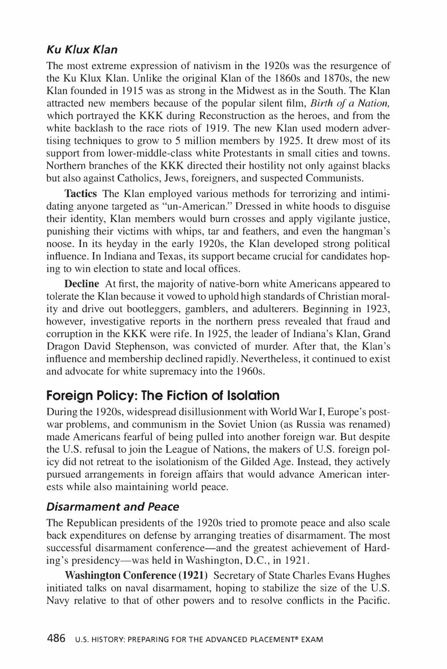#### *Ku Klux Klan*

The most extreme expression of nativism in the 1920s was the resurgence of the Ku Klux Klan. Unlike the original Klan of the 1860s and 1870s, the new Klan founded in 1915 was as strong in the Midwest as in the South. The Klan attracted new members because of the popular silent film, *Birth of a Nation,*  which portrayed the KKK during Reconstruction as the heroes, and from the white backlash to the race riots of 1919. The new Klan used modem advertising techniques to grow to 5 million members by 1925. It drew most of its support from lower-middle-class white Protestants in small cities and towns. Northern branches of the KKK directed their hostility not only against blacks but also against Catholics, Jews, foreigners, and suspected Communists.

**Tactics** The Klan employed various methods for terrorizing and intimidating anyone targeted as "un-American." Dressed in white hoods to disguise their identity, Klan members would bum crosses and apply vigilante justice, punishing their victims with whips, tar and feathers, and even the hangman's noose. In its heyday in the early 1920s, the Klan developed strong political influence. In Indiana and Texas, its support became crucial for candidates hoping to win election to state and local offices.

**Decline** At first, the majority of native-born white Americans appeared to tolerate the Klan because it vowed to uphold high standards of Christian morality and drive out bootleggers, gamblers, and adulterers. Beginning in 1923, however, investigative reports in the northern press revealed that fraud and corruption in the KKK were rife. In 1925, the leader of Indiana's Klan, Grand Dragon David Stephenson, was convicted of murder. After that, the Klan's influence and membership declined rapidly. Nevertheless, it continued to exist and advocate for white supremacy into the 1960s.

# **Foreign Policy: The Fiction of Isolation**

During the 1920s, widespread disillusionment with World War I, Europe's postwar problems, and communism in the Soviet Union (as Russia was renamed) made Americans fearful of being pulled into another foreign war. But despite the U.S. refusal to join the League of Nations, the makers of U.S. foreign policy did not retreat to the isolationism of the Gilded Age. Instead, they actively pursued arrangements in foreign affairs that would advance American interests while also maintaining world peace.

#### *Disarmament and Peace*

The Republican presidents of the 1920s tried to promote peace and also scale back expenditures on defense by arranging treaties of disarmament. The most successful disarmament conference—and the greatest achievement of Harding's presidency—was held in Washington, D.C., in 1921.

**Washington Conference (1921)** Secretary of State Charles Evans Hughes initiated talks on naval disarmament, hoping to stabilize the size of the U.S. Navy relative to that of other powers and to resolve conflicts in the Pacific.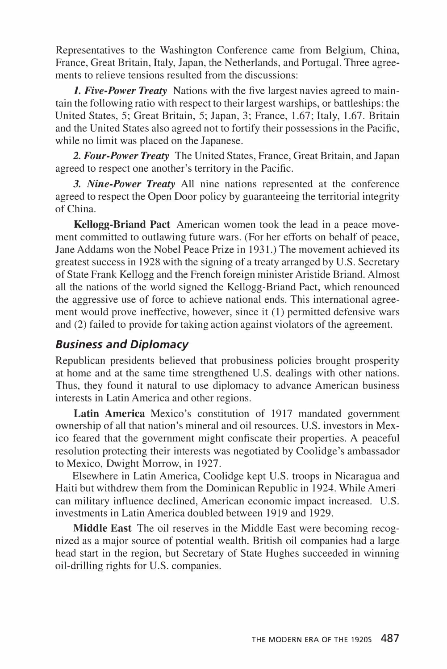Representatives to the Washington Conference came from Belgium, China, France, Great Britain, Italy, Japan, the Netherlands, and Portugal. Three agreements to relieve tensions resulted from the discussions:

*1. Five-Power Treaty* Nations with the five largest navies agreed to maintain the following ratio with respect to their largest warships, or battleships: the United States, 5; Great Britain, 5; Japan, 3; France, 1.67; Italy, 1.67. Britain and the United States also agreed not to fortify their possessions in the Pacific, while no limit was placed on the Japanese.

*2. Four-Power Treaty* The United States, France, Great Britain, and Japan agreed to respect one another's territory in the Pacific.

*3. Nine-Power Treaty* All nine nations represented at the conference agreed to respect the Open Door policy by guaranteeing the territorial integrity of China.

**Kellogg-Briand Pact** American women took the lead in a peace movement committed to outlawing future wars. (For her efforts on behalf of peace, Jane Addams won the Nobel Peace Prize in 1931.) The movement achieved its greatest success in 1928 with the signing of a treaty arranged by U.S. Secretary of State Frank Kellogg and the French foreign minister Aristide Briand. Almost all the nations of the world signed the Kellogg-Briand Pact, which renounced the aggressive use of force to achieve national ends. This international agreement would prove ineffective, however, since it (1) permitted defensive wars and (2) failed to provide for taking action against violators of the agreement.

#### *Business and Diplomacy*

Republican presidents believed that probusiness policies brought prosperity at home and at the same time strengthened U.S. dealings with other nations. Thus, they found it natural to use diplomacy to advance American business interests in Latin America and other regions.

**Latin America** Mexico's constitution of 1917 mandated government ownership of all that nation's mineral and oil resources. U.S. investors in Mexico feared that the government might confiscate their properties. A peaceful resolution protecting their interests was negotiated by Coolidge's ambassador to Mexico, Dwight Morrow, in 1927.

Elsewhere in Latin America, Coolidge kept U.S. troops in Nicaragua and Haiti but withdrew them from the Dominican Republic in 1924. While American military influence declined, American economic impact increased. U.S. investments in Latin America doubled between 1919 and 1929.

**Middle East** The oil reserves in the Middle East were becoming recognized as a major source of potential wealth. British oil companies had a large head start in the region, but Secretary of State Hughes succeeded in winning oil-drilling rights for U.S. companies.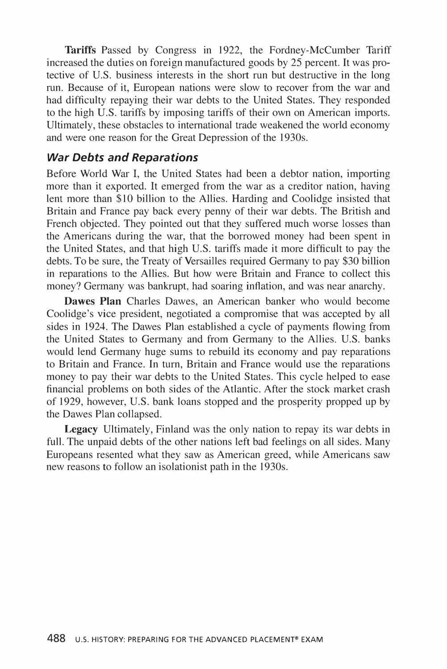**Tariffs** Passed by Congress in 1922, the Fordney-McCumber Tariff increased the duties on foreign manufactured goods by 25 percent. It was protective of U.S. business interests in the short run but destructive in the long run. Because of it, European nations were slow to recover from the war and had difficulty repaying their war debts to the United States. They responded to the high U.S. tariffs by imposing tariffs of their own on American imports. Ultimately, these obstacles to international trade weakened the world economy and were one reason for the Great Depression of the 1930s.

#### *War Debts and Reparations*

Before World War I, the United States had been a debtor nation, importing more than it exported. It emerged from the war as a creditor nation, having lent more than \$10 billion to the Allies. Harding and Coolidge insisted that Britain and France pay back every penny of their war debts. The British and French objected. They pointed out that they suffered much worse losses than the Americans during the war, that the borrowed money had been spent in the United States, and that high U.S. tariffs made it more difficult to pay the debts. To be sure, the Treaty of Versailles required Germany to pay \$30 billion in reparations to the Allies. But how were Britain and France to collect this money? Germany was bankrupt, had soaring inflation, and was near anarchy.

**Dawes Plan** Charles Dawes, an American banker who would become Coolidge's vice president, negotiated a compromise that was accepted by all sides in 1924. The Dawes Plan established a cycle of payments flowing from the United States to Germany and from Germany to the Allies. U.S. banks would lend Germany huge sums to rebuild its economy and pay reparations to Britain and France. In turn, Britain and France would use the reparations money to pay their war debts to the United States. This cycle helped to ease financial problems on both sides of the Atlantic. After the stock market crash of 1929, however, U.S. bank loans stopped and the prosperity propped up by the Dawes Plan collapsed.

**Legacy** Ultimately, Finland was the only nation to repay its war debts in full. The unpaid debts of the other nations left bad feelings on all sides. Many Europeans resented what they saw as American greed, while Americans saw new reasons to follow an isolationist path in the 1930s.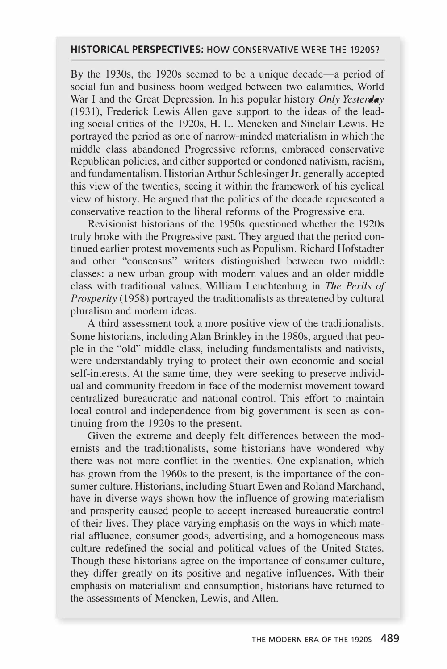#### **HISTORICAL PERSPECTIVES:** HOW CONSERVATIVE WERE THE 1920S?

By the 1930s, the 1920s seemed to be a unique decade—a period of social fun and business boom wedged between two calamities, World War I and the Great Depression. In his popular history *Only Yesterday*  (1931), Frederick Lewis Allen gave support to the ideas of the leading social critics of the 1920s, H. L. Mencken and Sinclair Lewis. He portrayed the period as one of narrow-minded materialism in which the middle class abandoned Progressive reforms, embraced conservative Republican policies, and either supported or condoned nativism, racism, and fundamentalism. Historian Arthur Schlesinger Jr. generally accepted this view of the twenties, seeing it within the framework of his cyclical view of history. He argued that the politics of the decade represented a conservative reaction to the liberal reforms of the Progressive era.

Revisionist historians of the 1950s questioned whether the 1920s truly broke with the Progressive past. They argued that the period continued earlier protest movements such as Populism. Richard Hofstadter and other "consensus" writers distinguished between two middle classes: a new urban group with modern values and an older middle class with traditional values. William Leuchtenburg in *The Perils of Prosperity* (1958) portrayed the traditionalists as threatened by cultural pluralism and modern ideas.

A third assessment took a more positive view of the traditionalists. Some historians, including Alan Brinkley in the 1980s, argued that people in the "old" middle class, including fundamentalists and nativists, were understandably trying to protect their own economic and social self-interests. At the same time, they were seeking to preserve individual and community freedom in face of the modernist movement toward centralized bureaucratic and national control. This effort to maintain local control and independence from big government is seen as continuing from the 1920s to the present.

Given the extreme and deeply felt differences between the modernists and the traditionalists, some historians have wondered why there was not more conflict in the twenties. One explanation, which has grown from the 1960s to the present, is the importance of the consumer culture. Historians, including Stuart Ewen and Roland Marchand, have in diverse ways shown how the influence of growing materialism and prosperity caused people to accept increased bureaucratic control of their lives. They place varying emphasis on the ways in which material affluence, consumer goods, advertising, and a homogeneous mass culture redefined the social and political values of the United States. Though these historians agree on the importance of consumer culture, they differ greatly on its positive and negative influences. With their emphasis on materialism and consumption, historians have returned to the assessments of Mencken, Lewis, and Allen.